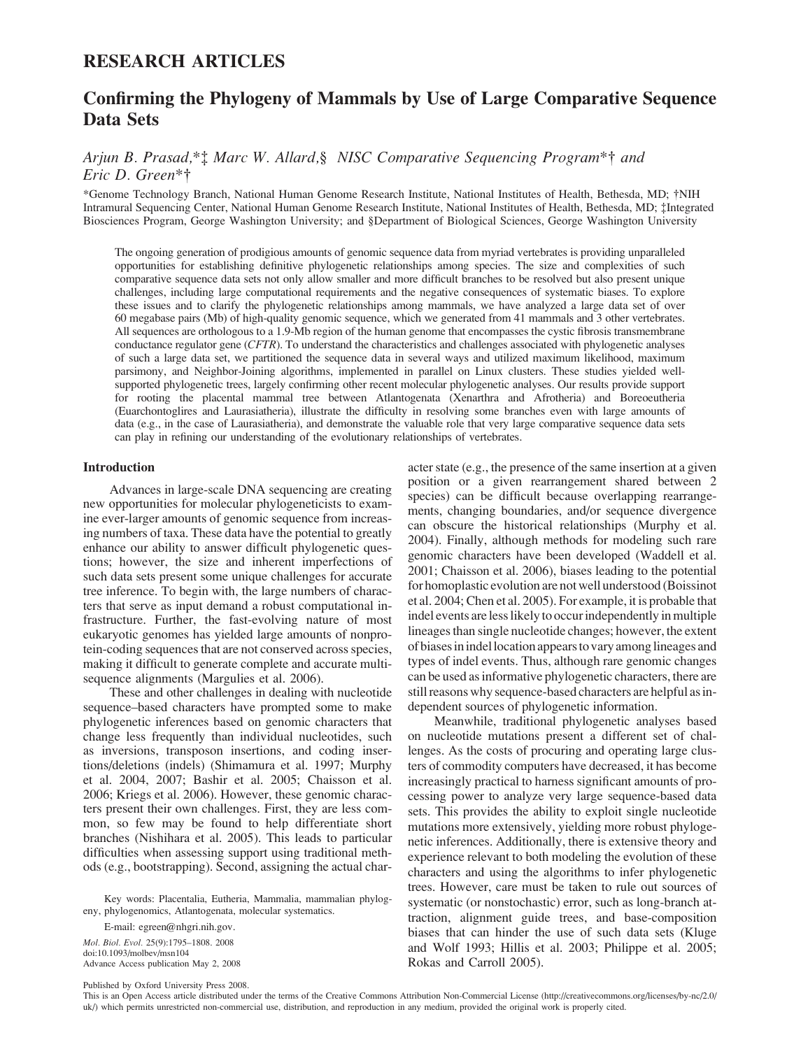# RESEARCH ARTICLES

# Confirming the Phylogeny of Mammals by Use of Large Comparative Sequence Data Sets

Arjun B. Prasad,\* $\ddagger$  Marc W. Allard,§ NISC Comparative Sequencing Program\* $\dagger$  and Eric D. Green\*†

\*Genome Technology Branch, National Human Genome Research Institute, National Institutes of Health, Bethesda, MD; -NIH Intramural Sequencing Center, National Human Genome Research Institute, National Institutes of Health, Bethesda, MD; Integrated Biosciences Program, George Washington University; and §Department of Biological Sciences, George Washington University

The ongoing generation of prodigious amounts of genomic sequence data from myriad vertebrates is providing unparalleled opportunities for establishing definitive phylogenetic relationships among species. The size and complexities of such comparative sequence data sets not only allow smaller and more difficult branches to be resolved but also present unique challenges, including large computational requirements and the negative consequences of systematic biases. To explore these issues and to clarify the phylogenetic relationships among mammals, we have analyzed a large data set of over 60 megabase pairs (Mb) of high-quality genomic sequence, which we generated from 41 mammals and 3 other vertebrates. All sequences are orthologous to a 1.9-Mb region of the human genome that encompasses the cystic fibrosis transmembrane conductance regulator gene (CFTR). To understand the characteristics and challenges associated with phylogenetic analyses of such a large data set, we partitioned the sequence data in several ways and utilized maximum likelihood, maximum parsimony, and Neighbor-Joining algorithms, implemented in parallel on Linux clusters. These studies yielded wellsupported phylogenetic trees, largely confirming other recent molecular phylogenetic analyses. Our results provide support for rooting the placental mammal tree between Atlantogenata (Xenarthra and Afrotheria) and Boreoeutheria (Euarchontoglires and Laurasiatheria), illustrate the difficulty in resolving some branches even with large amounts of data (e.g., in the case of Laurasiatheria), and demonstrate the valuable role that very large comparative sequence data sets can play in refining our understanding of the evolutionary relationships of vertebrates.

#### Introduction

Advances in large-scale DNA sequencing are creating new opportunities for molecular phylogeneticists to examine ever-larger amounts of genomic sequence from increasing numbers of taxa. These data have the potential to greatly enhance our ability to answer difficult phylogenetic questions; however, the size and inherent imperfections of such data sets present some unique challenges for accurate tree inference. To begin with, the large numbers of characters that serve as input demand a robust computational infrastructure. Further, the fast-evolving nature of most eukaryotic genomes has yielded large amounts of nonprotein-coding sequences that are not conserved across species, making it difficult to generate complete and accurate multisequence alignments (Margulies et al. 2006).

These and other challenges in dealing with nucleotide sequence–based characters have prompted some to make phylogenetic inferences based on genomic characters that change less frequently than individual nucleotides, such as inversions, transposon insertions, and coding insertions/deletions (indels) (Shimamura et al. 1997; Murphy et al. 2004, 2007; Bashir et al. 2005; Chaisson et al. 2006; Kriegs et al. 2006). However, these genomic characters present their own challenges. First, they are less common, so few may be found to help differentiate short branches (Nishihara et al. 2005). This leads to particular difficulties when assessing support using traditional methods (e.g., bootstrapping). Second, assigning the actual char-

Key words: Placentalia, Eutheria, Mammalia, mammalian phylogeny, phylogenomics, Atlantogenata, molecular systematics.

E-mail: egreen@nhgri.nih.gov.

Mol. Biol. Evol. 25(9):1795–1808. 2008 doi:10.1093/molbev/msn104 Advance Access publication May 2, 2008

acter state (e.g., the presence of the same insertion at a given position or a given rearrangement shared between 2 species) can be difficult because overlapping rearrangements, changing boundaries, and/or sequence divergence can obscure the historical relationships (Murphy et al. 2004). Finally, although methods for modeling such rare genomic characters have been developed (Waddell et al. 2001; Chaisson et al. 2006), biases leading to the potential for homoplastic evolution are not well understood (Boissinot et al. 2004; Chen et al. 2005). For example, it is probable that indel events are less likely to occur independently in multiple lineages than single nucleotide changes; however, the extent of biases in indel location appears tovary among lineages and types of indel events. Thus, although rare genomic changes can be used as informative phylogenetic characters, there are still reasons why sequence-based characters are helpful as independent sources of phylogenetic information.

Meanwhile, traditional phylogenetic analyses based on nucleotide mutations present a different set of challenges. As the costs of procuring and operating large clusters of commodity computers have decreased, it has become increasingly practical to harness significant amounts of processing power to analyze very large sequence-based data sets. This provides the ability to exploit single nucleotide mutations more extensively, yielding more robust phylogenetic inferences. Additionally, there is extensive theory and experience relevant to both modeling the evolution of these characters and using the algorithms to infer phylogenetic trees. However, care must be taken to rule out sources of systematic (or nonstochastic) error, such as long-branch attraction, alignment guide trees, and base-composition biases that can hinder the use of such data sets (Kluge and Wolf 1993; Hillis et al. 2003; Philippe et al. 2005; Rokas and Carroll 2005).

Published by Oxford University Press 2008.

This is an Open Access article distributed under the terms of the Creative Commons Attribution Non-Commercial License [\(http://creativecommons.org/licenses/by-nc/2.0/](http://creativecommons.org/licenses/by-nc/2.0/uk/) [uk/\)](http://creativecommons.org/licenses/by-nc/2.0/uk) which permits unrestricted non-commercial use, distribution, and reproduction in any medium, provided the original work is properly cited.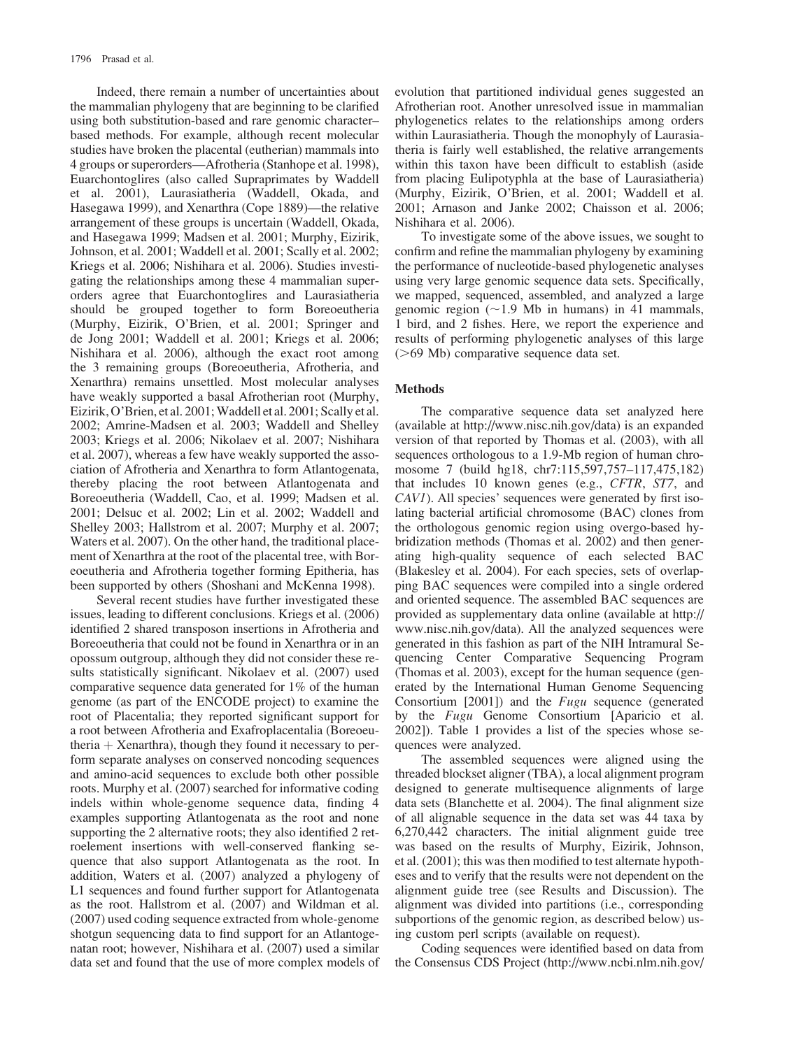Indeed, there remain a number of uncertainties about the mammalian phylogeny that are beginning to be clarified using both substitution-based and rare genomic character– based methods. For example, although recent molecular studies have broken the placental (eutherian) mammals into 4 groups or superorders—Afrotheria (Stanhope et al. 1998), Euarchontoglires (also called Supraprimates by Waddell et al. 2001), Laurasiatheria (Waddell, Okada, and Hasegawa 1999), and Xenarthra (Cope 1889)—the relative arrangement of these groups is uncertain (Waddell, Okada, and Hasegawa 1999; Madsen et al. 2001; Murphy, Eizirik, Johnson, et al. 2001; Waddell et al. 2001; Scally et al. 2002; Kriegs et al. 2006; Nishihara et al. 2006). Studies investigating the relationships among these 4 mammalian superorders agree that Euarchontoglires and Laurasiatheria should be grouped together to form Boreoeutheria (Murphy, Eizirik, O'Brien, et al. 2001; Springer and de Jong 2001; Waddell et al. 2001; Kriegs et al. 2006; Nishihara et al. 2006), although the exact root among the 3 remaining groups (Boreoeutheria, Afrotheria, and Xenarthra) remains unsettled. Most molecular analyses have weakly supported a basal Afrotherian root (Murphy, Eizirik, O'Brien, et al. 2001; Waddell et al. 2001; Scally et al. 2002; Amrine-Madsen et al. 2003; Waddell and Shelley 2003; Kriegs et al. 2006; Nikolaev et al. 2007; Nishihara et al. 2007), whereas a few have weakly supported the association of Afrotheria and Xenarthra to form Atlantogenata, thereby placing the root between Atlantogenata and Boreoeutheria (Waddell, Cao, et al. 1999; Madsen et al. 2001; Delsuc et al. 2002; Lin et al. 2002; Waddell and Shelley 2003; Hallstrom et al. 2007; Murphy et al. 2007; Waters et al. 2007). On the other hand, the traditional placement of Xenarthra at the root of the placental tree, with Boreoeutheria and Afrotheria together forming Epitheria, has been supported by others (Shoshani and McKenna 1998).

Several recent studies have further investigated these issues, leading to different conclusions. Kriegs et al. (2006) identified 2 shared transposon insertions in Afrotheria and Boreoeutheria that could not be found in Xenarthra or in an opossum outgroup, although they did not consider these results statistically significant. Nikolaev et al. (2007) used comparative sequence data generated for 1% of the human genome (as part of the ENCODE project) to examine the root of Placentalia; they reported significant support for a root between Afrotheria and Exafroplacentalia (Boreoeutheria  $+$  Xenarthra), though they found it necessary to perform separate analyses on conserved noncoding sequences and amino-acid sequences to exclude both other possible roots. Murphy et al. (2007) searched for informative coding indels within whole-genome sequence data, finding 4 examples supporting Atlantogenata as the root and none supporting the 2 alternative roots; they also identified 2 retroelement insertions with well-conserved flanking sequence that also support Atlantogenata as the root. In addition, Waters et al. (2007) analyzed a phylogeny of L1 sequences and found further support for Atlantogenata as the root. Hallstrom et al. (2007) and Wildman et al. (2007) used coding sequence extracted from whole-genome shotgun sequencing data to find support for an Atlantogenatan root; however, Nishihara et al. (2007) used a similar data set and found that the use of more complex models of evolution that partitioned individual genes suggested an Afrotherian root. Another unresolved issue in mammalian phylogenetics relates to the relationships among orders within Laurasiatheria. Though the monophyly of Laurasiatheria is fairly well established, the relative arrangements within this taxon have been difficult to establish (aside from placing Eulipotyphla at the base of Laurasiatheria) (Murphy, Eizirik, O'Brien, et al. 2001; Waddell et al. 2001; Arnason and Janke 2002; Chaisson et al. 2006; Nishihara et al. 2006).

To investigate some of the above issues, we sought to confirm and refine the mammalian phylogeny by examining the performance of nucleotide-based phylogenetic analyses using very large genomic sequence data sets. Specifically, we mapped, sequenced, assembled, and analyzed a large genomic region  $(\sim 1.9$  Mb in humans) in 41 mammals, 1 bird, and 2 fishes. Here, we report the experience and results of performing phylogenetic analyses of this large  $(>= 69$  Mb) comparative sequence data set.

#### Methods

The comparative sequence data set analyzed here (available at<http://www.nisc.nih.gov/data>) is an expanded version of that reported by Thomas et al. (2003), with all sequences orthologous to a 1.9-Mb region of human chromosome 7 (build hg18, chr7:115,597,757–117,475,182) that includes 10 known genes (e.g., CFTR, ST7, and CAV1). All species' sequences were generated by first isolating bacterial artificial chromosome (BAC) clones from the orthologous genomic region using overgo-based hybridization methods (Thomas et al. 2002) and then generating high-quality sequence of each selected BAC (Blakesley et al. 2004). For each species, sets of overlapping BAC sequences were compiled into a single ordered and oriented sequence. The assembled BAC sequences are provided as supplementary data online (available at [http://](http://www.nisc.nih.gov/data) [www.nisc.nih.gov/data\)](http://www.nisc.nih.gov/data). All the analyzed sequences were generated in this fashion as part of the NIH Intramural Sequencing Center Comparative Sequencing Program (Thomas et al. 2003), except for the human sequence (generated by the International Human Genome Sequencing Consortium [2001]) and the Fugu sequence (generated by the Fugu Genome Consortium [Aparicio et al. 2002]). Table 1 provides a list of the species whose sequences were analyzed.

The assembled sequences were aligned using the threaded blockset aligner (TBA), a local alignment program designed to generate multisequence alignments of large data sets (Blanchette et al. 2004). The final alignment size of all alignable sequence in the data set was 44 taxa by 6,270,442 characters. The initial alignment guide tree was based on the results of Murphy, Eizirik, Johnson, et al. (2001); this was then modified to test alternate hypotheses and to verify that the results were not dependent on the alignment guide tree (see Results and Discussion). The alignment was divided into partitions (i.e., corresponding subportions of the genomic region, as described below) using custom perl scripts (available on request).

Coding sequences were identified based on data from the Consensus CDS Project [\(http://www.ncbi.nlm.nih.gov/](http://www.ncbi.nlm.nih.gov/CCDS)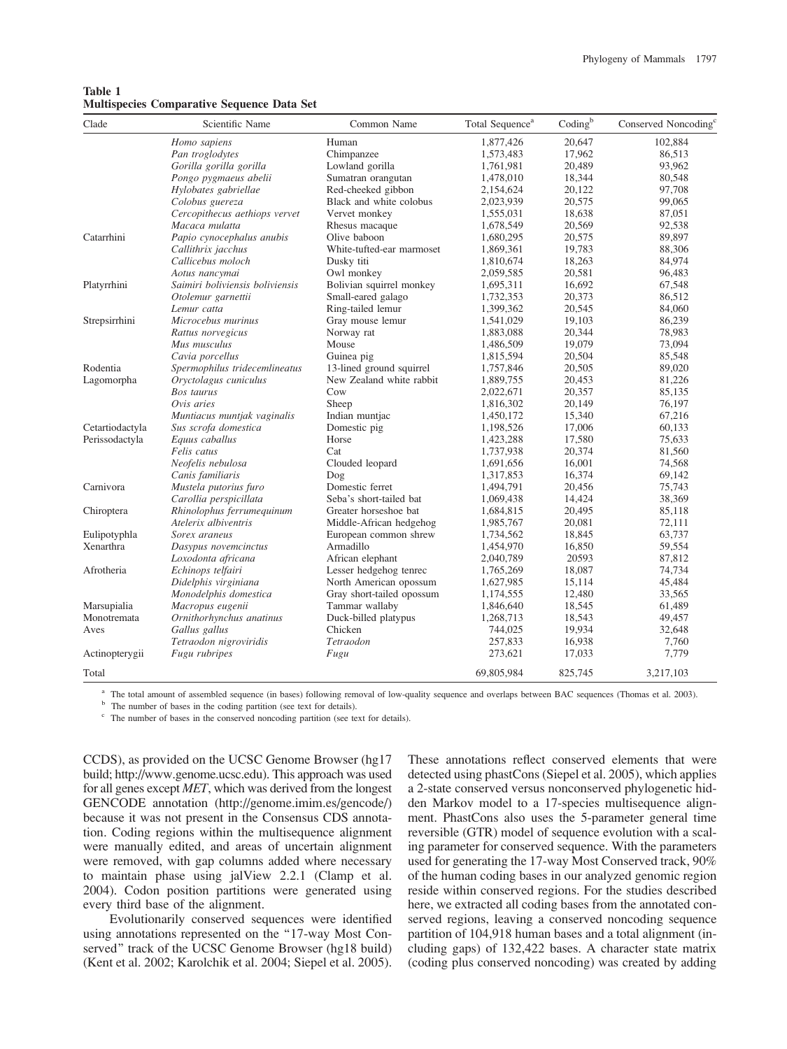| Table 1 |                                                   |  |  |
|---------|---------------------------------------------------|--|--|
|         | <b>Multispecies Comparative Sequence Data Set</b> |  |  |

| Clade           | Scientific Name                 | Common Name               | Total Sequence <sup>a</sup> | Codingb | Conserved Noncoding <sup>c</sup> |  |
|-----------------|---------------------------------|---------------------------|-----------------------------|---------|----------------------------------|--|
|                 | Homo sapiens                    | Human                     | 1,877,426                   | 20,647  | 102,884                          |  |
|                 | Pan troglodytes                 | Chimpanzee                | 1,573,483                   | 17,962  | 86,513                           |  |
|                 | Gorilla gorilla gorilla         | Lowland gorilla           | 1,761,981                   | 20,489  | 93,962                           |  |
|                 | Pongo pygmaeus abelii           | Sumatran orangutan        | 1,478,010                   | 18,344  | 80,548                           |  |
|                 | Hylobates gabriellae            | Red-cheeked gibbon        | 2,154,624                   | 20,122  | 97,708                           |  |
|                 | Colobus guereza                 | Black and white colobus   | 2,023,939                   | 20,575  | 99,065                           |  |
|                 | Cercopithecus aethiops vervet   | Vervet monkey             | 1,555,031                   | 18,638  | 87,051                           |  |
|                 | Macaca mulatta                  | Rhesus macaque            | 1,678,549                   | 20,569  | 92,538                           |  |
| Catarrhini      | Papio cynocephalus anubis       | Olive baboon              | 1,680,295                   | 20,575  | 89,897                           |  |
|                 | Callithrix jacchus              | White-tufted-ear marmoset | 1,869,361                   | 19,783  | 88,306                           |  |
|                 | Callicebus moloch               | Dusky titi                | 1,810,674                   | 18,263  | 84,974                           |  |
|                 | Aotus nancymai                  | Owl monkey                | 2,059,585                   | 20,581  | 96,483                           |  |
| Platyrrhini     | Saimiri boliviensis boliviensis | Bolivian squirrel monkey  | 1,695,311                   | 16,692  | 67,548                           |  |
|                 | Otolemur garnettii              | Small-eared galago        | 1,732,353                   | 20,373  | 86,512                           |  |
|                 | Lemur catta                     | Ring-tailed lemur         | 1,399,362                   | 20,545  | 84,060                           |  |
| Strepsirrhini   | Microcebus murinus              | Gray mouse lemur          | 1,541,029                   | 19,103  | 86,239                           |  |
|                 | Rattus norvegicus               | Norway rat                | 1,883,088                   | 20,344  | 78,983                           |  |
|                 | Mus musculus                    | Mouse                     | 1,486,509                   | 19,079  | 73,094                           |  |
|                 | Cavia porcellus                 | Guinea pig                | 1,815,594                   | 20,504  | 85,548                           |  |
| Rodentia        | Spermophilus tridecemlineatus   | 13-lined ground squirrel  | 1,757,846                   | 20,505  | 89,020                           |  |
| Lagomorpha      | Oryctolagus cuniculus           | New Zealand white rabbit  | 1,889,755                   | 20,453  | 81,226                           |  |
|                 | Bos taurus                      | Cow                       | 2,022,671                   | 20,357  | 85,135                           |  |
|                 | Ovis aries                      | Sheep                     | 1,816,302                   | 20,149  | 76,197                           |  |
|                 | Muntiacus muntjak vaginalis     | Indian muntjac            | 1,450,172                   | 15,340  | 67,216                           |  |
| Cetartiodactyla | Sus scrofa domestica            | Domestic pig              | 1,198,526                   | 17,006  | 60,133                           |  |
| Perissodactyla  | Equus caballus                  | Horse                     | 1,423,288                   | 17,580  | 75,633                           |  |
|                 | Felis catus                     | Cat                       | 1,737,938                   | 20,374  | 81,560                           |  |
|                 | Neofelis nebulosa               | Clouded leopard           | 1,691,656                   | 16,001  | 74,568                           |  |
|                 | Canis familiaris                | Dog                       | 1,317,853                   | 16,374  | 69,142                           |  |
| Carnivora       | Mustela putorius furo           | Domestic ferret           | 1,494,791                   | 20,456  | 75,743                           |  |
|                 | Carollia perspicillata          | Seba's short-tailed bat   | 1,069,438                   | 14,424  | 38,369                           |  |
| Chiroptera      | Rhinolophus ferrumequinum       | Greater horseshoe bat     | 1,684,815                   | 20,495  | 85,118                           |  |
|                 | Atelerix albiventris            | Middle-African hedgehog   | 1,985,767                   | 20,081  | 72,111                           |  |
| Eulipotyphla    | Sorex araneus                   | European common shrew     | 1,734,562                   | 18,845  | 63,737                           |  |
| Xenarthra       | Dasypus novemcinctus            | Armadillo                 | 1,454,970                   | 16,850  | 59,554                           |  |
|                 | Loxodonta africana              | African elephant          | 2,040,789                   | 20593   | 87,812                           |  |
| Afrotheria      | Echinops telfairi               | Lesser hedgehog tenrec    | 1,765,269                   | 18,087  | 74,734                           |  |
|                 | Didelphis virginiana            | North American opossum    | 1,627,985                   | 15,114  | 45,484                           |  |
|                 | Monodelphis domestica           | Gray short-tailed opossum | 1,174,555                   | 12,480  | 33,565                           |  |
| Marsupialia     | Macropus eugenii                | Tammar wallaby            | 1,846,640                   | 18,545  | 61,489                           |  |
| Monotremata     | Ornithorhynchus anatinus        | Duck-billed platypus      | 1,268,713                   | 18,543  | 49,457                           |  |
| Aves            | Gallus gallus                   | Chicken                   | 744,025                     | 19,934  | 32,648                           |  |
|                 | Tetraodon nigroviridis          | Tetraodon                 | 257,833                     | 16,938  | 7,760                            |  |
| Actinopterygii  | Fugu rubripes                   | Fugu                      | 273,621                     | 17,033  | 7,779                            |  |
| Total           |                                 |                           | 69,805,984                  | 825,745 | 3,217,103                        |  |

<sup>a</sup> The total amount of assembled sequence (in bases) following removal of low-quality sequence and overlaps between BAC sequences (Thomas et al. 2003).

<sup>b</sup> The number of bases in the coding partition (see text for details).

c The number of bases in the conserved noncoding partition (see text for details).

CCDS), as provided on the UCSC Genome Browser (hg17 build;<http://www.genome.ucsc.edu>). This approach was used for all genes except MET, which was derived from the longest GENCODE annotation [\(http://genome.imim.es/gencode/\)](http://genome.imim.es/gencode/) because it was not present in the Consensus CDS annotation. Coding regions within the multisequence alignment were manually edited, and areas of uncertain alignment were removed, with gap columns added where necessary to maintain phase using jalView 2.2.1 (Clamp et al. 2004). Codon position partitions were generated using every third base of the alignment.

Evolutionarily conserved sequences were identified using annotations represented on the ''17-way Most Conserved'' track of the UCSC Genome Browser (hg18 build) (Kent et al. 2002; Karolchik et al. 2004; Siepel et al. 2005).

These annotations reflect conserved elements that were detected using phastCons (Siepel et al. 2005), which applies a 2-state conserved versus nonconserved phylogenetic hidden Markov model to a 17-species multisequence alignment. PhastCons also uses the 5-parameter general time reversible (GTR) model of sequence evolution with a scaling parameter for conserved sequence. With the parameters used for generating the 17-way Most Conserved track, 90% of the human coding bases in our analyzed genomic region reside within conserved regions. For the studies described here, we extracted all coding bases from the annotated conserved regions, leaving a conserved noncoding sequence partition of 104,918 human bases and a total alignment (including gaps) of 132,422 bases. A character state matrix (coding plus conserved noncoding) was created by adding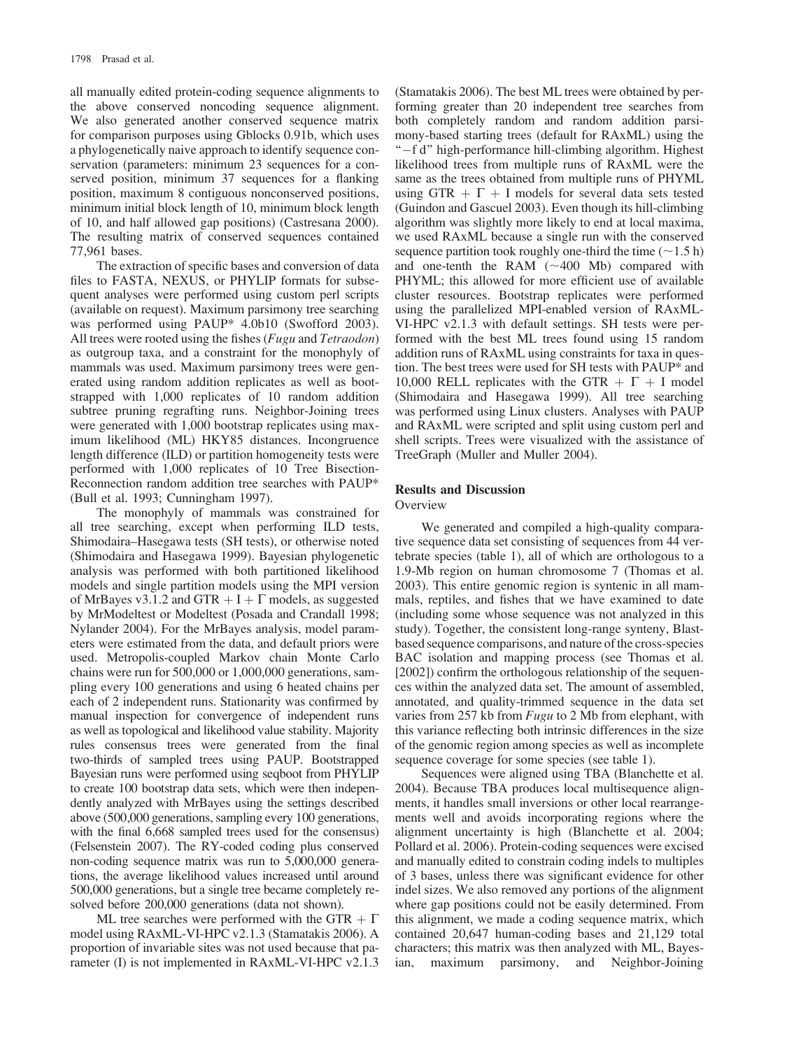all manually edited protein-coding sequence alignments to the above conserved noncoding sequence alignment. We also generated another conserved sequence matrix for comparison purposes using Gblocks 0.91b, which uses a phylogenetically naive approach to identify sequence conservation (parameters: minimum 23 sequences for a conserved position, minimum 37 sequences for a flanking position, maximum 8 contiguous nonconserved positions, minimum initial block length of 10, minimum block length of 10, and half allowed gap positions) (Castresana 2000). The resulting matrix of conserved sequences contained 77,961 bases.

The extraction of specific bases and conversion of data files to FASTA, NEXUS, or PHYLIP formats for subsequent analyses were performed using custom perl scripts (available on request). Maximum parsimony tree searching was performed using PAUP\* 4.0b10 (Swofford 2003). All trees were rooted using the fishes (*Fugu* and *Tetraodon*) as outgroup taxa, and a constraint for the monophyly of mammals was used. Maximum parsimony trees were generated using random addition replicates as well as bootstrapped with 1,000 replicates of 10 random addition subtree pruning regrafting runs. Neighbor-Joining trees were generated with 1,000 bootstrap replicates using maximum likelihood (ML) HKY85 distances. Incongruence length difference (ILD) or partition homogeneity tests were performed with 1,000 replicates of 10 Tree Bisection-Reconnection random addition tree searches with PAUP\* (Bull et al. 1993; Cunningham 1997).

The monophyly of mammals was constrained for all tree searching, except when performing ILD tests, Shimodaira–Hasegawa tests (SH tests), or otherwise noted (Shimodaira and Hasegawa 1999). Bayesian phylogenetic analysis was performed with both partitioned likelihood models and single partition models using the MPI version of MrBayes v3.1.2 and GTR  $+$  I  $+$   $\Gamma$  models, as suggested by MrModeltest or Modeltest (Posada and Crandall 1998; Nylander 2004). For the MrBayes analysis, model parameters were estimated from the data, and default priors were used. Metropolis-coupled Markov chain Monte Carlo chains were run for 500,000 or 1,000,000 generations, sampling every 100 generations and using 6 heated chains per each of 2 independent runs. Stationarity was confirmed by manual inspection for convergence of independent runs as well as topological and likelihood value stability. Majority rules consensus trees were generated from the final two-thirds of sampled trees using PAUP. Bootstrapped Bayesian runs were performed using seqboot from PHYLIP to create 100 bootstrap data sets, which were then independently analyzed with MrBayes using the settings described above (500,000 generations, sampling every 100 generations, with the final  $6,668$  sampled trees used for the consensus) (Felsenstein 2007). The RY-coded coding plus conserved non-coding sequence matrix was run to 5,000,000 generations, the average likelihood values increased until around 500,000 generations, but a single tree became completely resolved before 200,000 generations (data not shown).

ML tree searches were performed with the GTR  $+ \Gamma$ model using RAxML-VI-HPC v2.1.3 (Stamatakis 2006). A proportion of invariable sites was not used because that parameter (I) is not implemented in RAxML-VI-HPC v2.1.3

(Stamatakis 2006). The best ML trees were obtained by performing greater than 20 independent tree searches from both completely random and random addition parsimony-based starting trees (default for RAxML) using the "-f d" high-performance hill-climbing algorithm. Highest likelihood trees from multiple runs of RAxML were the same as the trees obtained from multiple runs of PHYML using GTR  $+ \Gamma + I$  models for several data sets tested (Guindon and Gascuel 2003). Even though its hill-climbing algorithm was slightly more likely to end at local maxima, we used RAxML because a single run with the conserved sequence partition took roughly one-third the time  $(\sim 1.5 \text{ h})$ and one-tenth the RAM  $(\sim 400$  Mb) compared with PHYML; this allowed for more efficient use of available cluster resources. Bootstrap replicates were performed using the parallelized MPI-enabled version of RAxML-VI-HPC v2.1.3 with default settings. SH tests were performed with the best ML trees found using 15 random addition runs of RAxML using constraints for taxa in question. The best trees were used for SH tests with PAUP\* and 10,000 RELL replicates with the GTR  $+ \Gamma + I$  model (Shimodaira and Hasegawa 1999). All tree searching was performed using Linux clusters. Analyses with PAUP and RAxML were scripted and split using custom perl and shell scripts. Trees were visualized with the assistance of TreeGraph (Muller and Muller 2004).

## Results and Discussion

#### **Overview**

We generated and compiled a high-quality comparative sequence data set consisting of sequences from 44 vertebrate species (table 1), all of which are orthologous to a 1.9-Mb region on human chromosome 7 (Thomas et al. 2003). This entire genomic region is syntenic in all mammals, reptiles, and fishes that we have examined to date (including some whose sequence was not analyzed in this study). Together, the consistent long-range synteny, Blastbased sequence comparisons, and nature of the cross-species BAC isolation and mapping process (see Thomas et al. [2002]) confirm the orthologous relationship of the sequences within the analyzed data set. The amount of assembled, annotated, and quality-trimmed sequence in the data set varies from 257 kb from  $Fugu$  to 2 Mb from elephant, with this variance reflecting both intrinsic differences in the size of the genomic region among species as well as incomplete sequence coverage for some species (see table 1).

Sequences were aligned using TBA (Blanchette et al. 2004). Because TBA produces local multisequence alignments, it handles small inversions or other local rearrangements well and avoids incorporating regions where the alignment uncertainty is high (Blanchette et al. 2004; Pollard et al. 2006). Protein-coding sequences were excised and manually edited to constrain coding indels to multiples of 3 bases, unless there was significant evidence for other indel sizes. We also removed any portions of the alignment where gap positions could not be easily determined. From this alignment, we made a coding sequence matrix, which contained 20,647 human-coding bases and 21,129 total characters; this matrix was then analyzed with ML, Bayesian, maximum parsimony, and Neighbor-Joining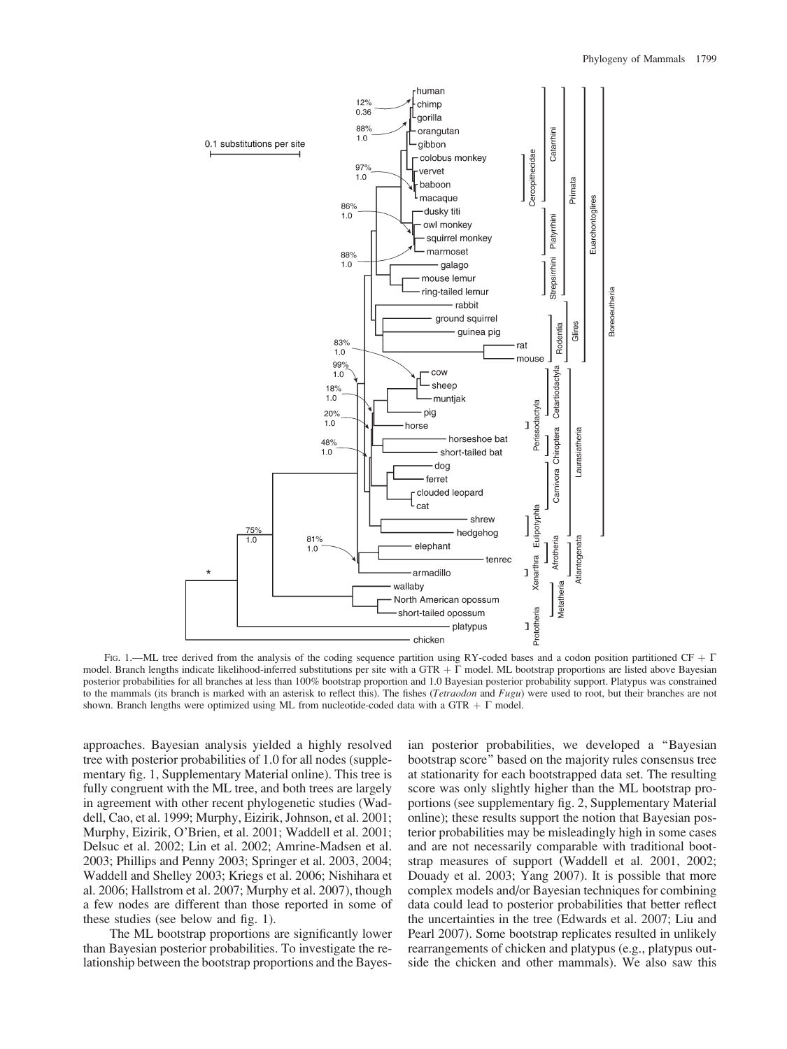

FIG. 1.—ML tree derived from the analysis of the coding sequence partition using RY-coded bases and a codon position partitioned CF +  $\Gamma$ model. Branch lengths indicate likelihood-inferred substitutions per site with a GTR  $+ \Gamma$  model. ML bootstrap proportions are listed above Bayesian posterior probabilities for all branches at less than 100% bootstrap proportion and 1.0 Bayesian posterior probability support. Platypus was constrained to the mammals (its branch is marked with an asterisk to reflect this). The fishes (Tetraodon and Fugu) were used to root, but their branches are not shown. Branch lengths were optimized using ML from nucleotide-coded data with a GTR  $+ \Gamma$  model.

approaches. Bayesian analysis yielded a highly resolved tree with posterior probabilities of 1.0 for all nodes (supplementary fig. 1, Supplementary Material online). This tree is fully congruent with the ML tree, and both trees are largely in agreement with other recent phylogenetic studies (Waddell, Cao, et al. 1999; Murphy, Eizirik, Johnson, et al. 2001; Murphy, Eizirik, O'Brien, et al. 2001; Waddell et al. 2001; Delsuc et al. 2002; Lin et al. 2002; Amrine-Madsen et al. 2003; Phillips and Penny 2003; Springer et al. 2003, 2004; Waddell and Shelley 2003; Kriegs et al. 2006; Nishihara et al. 2006; Hallstrom et al. 2007; Murphy et al. 2007), though a few nodes are different than those reported in some of these studies (see below and fig. 1).

The ML bootstrap proportions are significantly lower than Bayesian posterior probabilities. To investigate the relationship between the bootstrap proportions and the Bayes-

ian posterior probabilities, we developed a ''Bayesian bootstrap score'' based on the majority rules consensus tree at stationarity for each bootstrapped data set. The resulting score was only slightly higher than the ML bootstrap proportions (see supplementary fig. 2, Supplementary Material online); these results support the notion that Bayesian posterior probabilities may be misleadingly high in some cases and are not necessarily comparable with traditional bootstrap measures of support (Waddell et al. 2001, 2002; Douady et al. 2003; Yang 2007). It is possible that more complex models and/or Bayesian techniques for combining data could lead to posterior probabilities that better reflect the uncertainties in the tree (Edwards et al. 2007; Liu and Pearl 2007). Some bootstrap replicates resulted in unlikely rearrangements of chicken and platypus (e.g., platypus outside the chicken and other mammals). We also saw this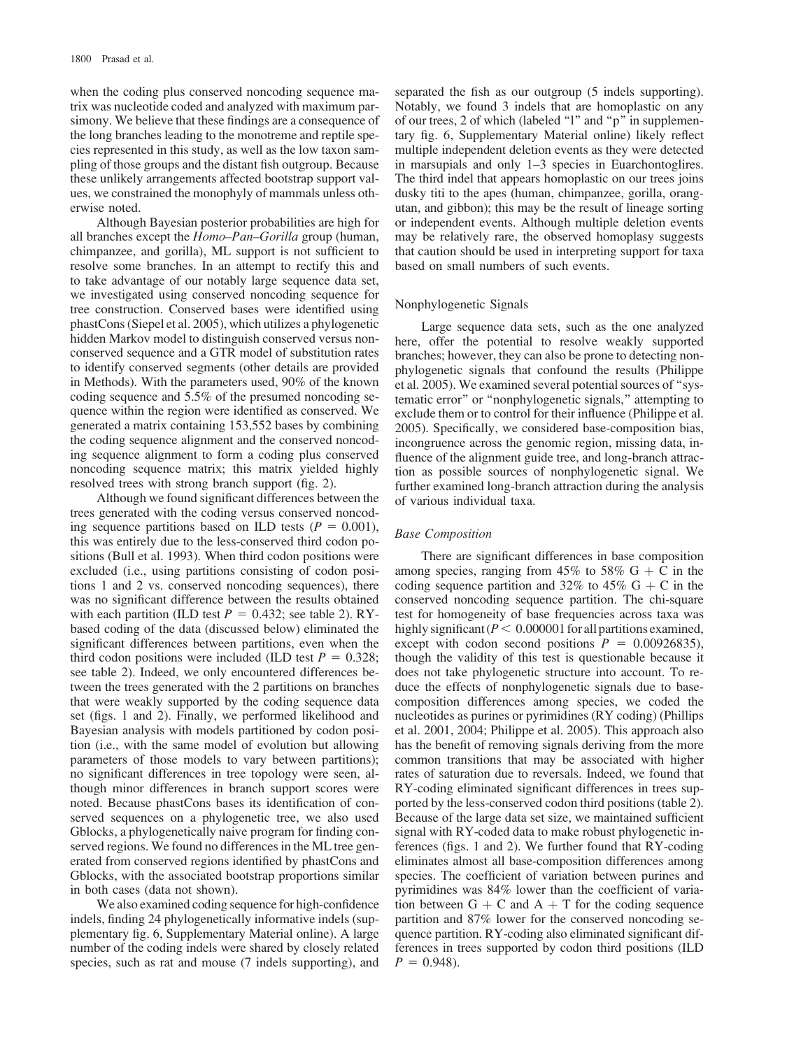when the coding plus conserved noncoding sequence matrix was nucleotide coded and analyzed with maximum parsimony. We believe that these findings are a consequence of the long branches leading to the monotreme and reptile species represented in this study, as well as the low taxon sampling of those groups and the distant fish outgroup. Because these unlikely arrangements affected bootstrap support values, we constrained the monophyly of mammals unless otherwise noted.

Although Bayesian posterior probabilities are high for all branches except the Homo–Pan–Gorilla group (human, chimpanzee, and gorilla), ML support is not sufficient to resolve some branches. In an attempt to rectify this and to take advantage of our notably large sequence data set, we investigated using conserved noncoding sequence for tree construction. Conserved bases were identified using phastCons (Siepel et al. 2005), which utilizes a phylogenetic hidden Markov model to distinguish conserved versus nonconserved sequence and a GTR model of substitution rates to identify conserved segments (other details are provided in Methods). With the parameters used, 90% of the known coding sequence and 5.5% of the presumed noncoding sequence within the region were identified as conserved. We generated a matrix containing 153,552 bases by combining the coding sequence alignment and the conserved noncoding sequence alignment to form a coding plus conserved noncoding sequence matrix; this matrix yielded highly resolved trees with strong branch support (fig. 2).

Although we found significant differences between the trees generated with the coding versus conserved noncoding sequence partitions based on ILD tests ( $P = 0.001$ ), this was entirely due to the less-conserved third codon positions (Bull et al. 1993). When third codon positions were excluded (i.e., using partitions consisting of codon positions 1 and 2 vs. conserved noncoding sequences), there was no significant difference between the results obtained with each partition (ILD test  $P = 0.432$ ; see table 2). RYbased coding of the data (discussed below) eliminated the significant differences between partitions, even when the third codon positions were included (ILD test  $P = 0.328$ ; see table 2). Indeed, we only encountered differences between the trees generated with the 2 partitions on branches that were weakly supported by the coding sequence data set (figs. 1 and 2). Finally, we performed likelihood and Bayesian analysis with models partitioned by codon position (i.e., with the same model of evolution but allowing parameters of those models to vary between partitions); no significant differences in tree topology were seen, although minor differences in branch support scores were noted. Because phastCons bases its identification of conserved sequences on a phylogenetic tree, we also used Gblocks, a phylogenetically naive program for finding conserved regions. We found no differences in the ML tree generated from conserved regions identified by phastCons and Gblocks, with the associated bootstrap proportions similar in both cases (data not shown).

We also examined coding sequence for high-confidence indels, finding 24 phylogenetically informative indels (supplementary fig. 6, Supplementary Material online). A large number of the coding indels were shared by closely related species, such as rat and mouse (7 indels supporting), and separated the fish as our outgroup (5 indels supporting). Notably, we found 3 indels that are homoplastic on any of our trees, 2 of which (labeled ''l'' and ''p'' in supplementary fig. 6, Supplementary Material online) likely reflect multiple independent deletion events as they were detected in marsupials and only 1–3 species in Euarchontoglires. The third indel that appears homoplastic on our trees joins dusky titi to the apes (human, chimpanzee, gorilla, orangutan, and gibbon); this may be the result of lineage sorting or independent events. Although multiple deletion events may be relatively rare, the observed homoplasy suggests that caution should be used in interpreting support for taxa based on small numbers of such events.

#### Nonphylogenetic Signals

Large sequence data sets, such as the one analyzed here, offer the potential to resolve weakly supported branches; however, they can also be prone to detecting nonphylogenetic signals that confound the results (Philippe et al. 2005). We examined several potential sources of ''systematic error'' or ''nonphylogenetic signals,'' attempting to exclude them or to control for their influence (Philippe et al. 2005). Specifically, we considered base-composition bias, incongruence across the genomic region, missing data, influence of the alignment guide tree, and long-branch attraction as possible sources of nonphylogenetic signal. We further examined long-branch attraction during the analysis of various individual taxa.

#### Base Composition

There are significant differences in base composition among species, ranging from 45% to 58%  $G + C$  in the coding sequence partition and 32% to 45%  $G + C$  in the conserved noncoding sequence partition. The chi-square test for homogeneity of base frequencies across taxa was highly significant ( $P < 0.000001$  for all partitions examined, except with codon second positions  $P = 0.00926835$ , though the validity of this test is questionable because it does not take phylogenetic structure into account. To reduce the effects of nonphylogenetic signals due to basecomposition differences among species, we coded the nucleotides as purines or pyrimidines (RY coding) (Phillips et al. 2001, 2004; Philippe et al. 2005). This approach also has the benefit of removing signals deriving from the more common transitions that may be associated with higher rates of saturation due to reversals. Indeed, we found that RY-coding eliminated significant differences in trees supported by the less-conserved codon third positions (table 2). Because of the large data set size, we maintained sufficient signal with RY-coded data to make robust phylogenetic inferences (figs. 1 and 2). We further found that RY-coding eliminates almost all base-composition differences among species. The coefficient of variation between purines and pyrimidines was 84% lower than the coefficient of variation between  $G + C$  and  $A + T$  for the coding sequence partition and 87% lower for the conserved noncoding sequence partition. RY-coding also eliminated significant differences in trees supported by codon third positions (ILD  $P = 0.948$ .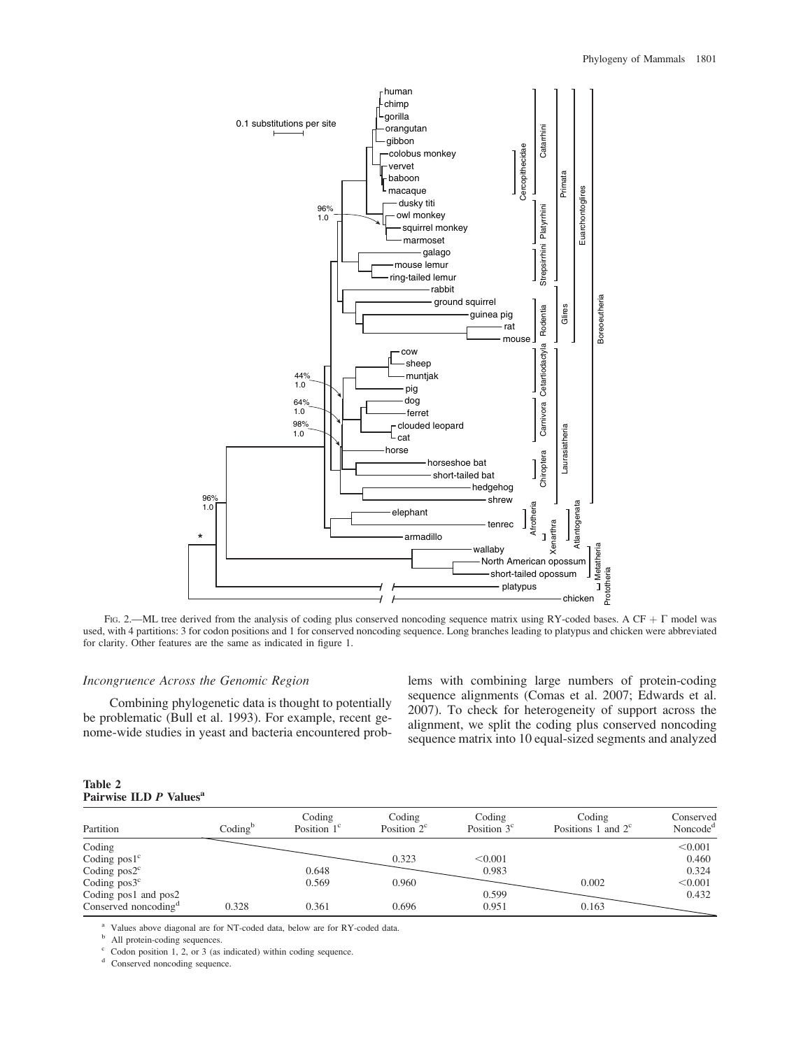

FIG. 2.—ML tree derived from the analysis of coding plus conserved noncoding sequence matrix using RY-coded bases. A CF +  $\Gamma$  model was used, with 4 partitions: 3 for codon positions and 1 for conserved noncoding sequence. Long branches leading to platypus and chicken were abbreviated for clarity. Other features are the same as indicated in figure 1.

# Incongruence Across the Genomic Region

Combining phylogenetic data is thought to potentially be problematic (Bull et al. 1993). For example, recent genome-wide studies in yeast and bacteria encountered problems with combining large numbers of protein-coding sequence alignments (Comas et al. 2007; Edwards et al. 2007). To check for heterogeneity of support across the alignment, we split the coding plus conserved noncoding sequence matrix into 10 equal-sized segments and analyzed

| Table 2                            |  |  |
|------------------------------------|--|--|
| Pairwise ILD P Values <sup>a</sup> |  |  |

| Partition                        | $\text{Coding}^{\rm b}$ | Coding<br>Position $1c$ | Coding<br>Position $2^{\circ}$ | Coding<br>Position $3c$ | Coding<br>Positions 1 and $2^{\circ}$ | Conserved<br>Noncode <sup>d</sup> |
|----------------------------------|-------------------------|-------------------------|--------------------------------|-------------------------|---------------------------------------|-----------------------------------|
| Coding                           |                         |                         |                                |                         |                                       | < 0.001                           |
| Coding $pos1c$                   |                         |                         | 0.323                          | < 0.001                 |                                       | 0.460                             |
| Coding $pos2c$                   |                         | 0.648                   |                                | 0.983                   |                                       | 0.324                             |
| Coding $pos3c$                   |                         | 0.569                   | 0.960                          |                         | 0.002                                 | < 0.001                           |
| Coding pos1 and pos2             |                         |                         |                                | 0.599                   |                                       | 0.432                             |
| Conserved noncoding <sup>a</sup> | 0.328                   | 0.361                   | 0.696                          | 0.951                   | 0.163                                 |                                   |

<sup>a</sup> Values above diagonal are for NT-coded data, below are for RY-coded data.

All protein-coding sequences.

 $\frac{c}{d}$  Codon position 1, 2, or 3 (as indicated) within coding sequence.

Conserved noncoding sequence.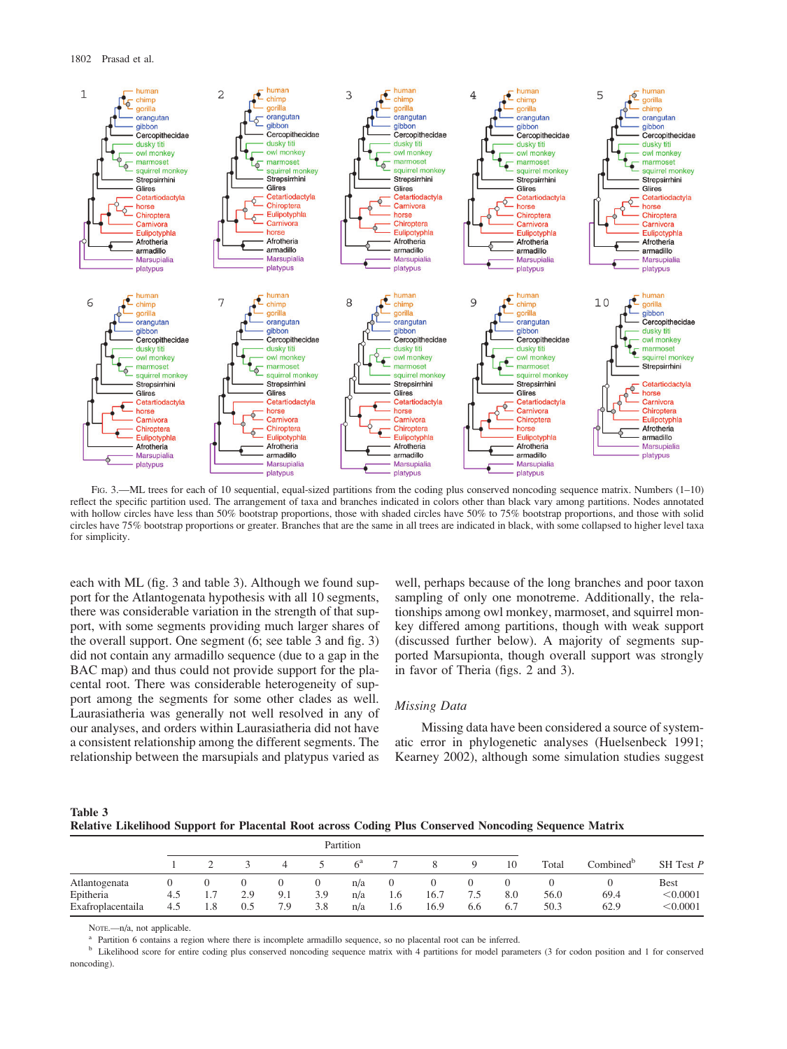

FIG. 3.—ML trees for each of 10 sequential, equal-sized partitions from the coding plus conserved noncoding sequence matrix. Numbers (1–10) reflect the specific partition used. The arrangement of taxa and branches indicated in colors other than black vary among partitions. Nodes annotated with hollow circles have less than 50% bootstrap proportions, those with shaded circles have 50% to 75% bootstrap proportions, and those with solid circles have 75% bootstrap proportions or greater. Branches that are the same in all trees are indicated in black, with some collapsed to higher level taxa for simplicity.

each with ML (fig. 3 and table 3). Although we found support for the Atlantogenata hypothesis with all 10 segments, there was considerable variation in the strength of that support, with some segments providing much larger shares of the overall support. One segment (6; see table 3 and fig. 3) did not contain any armadillo sequence (due to a gap in the BAC map) and thus could not provide support for the placental root. There was considerable heterogeneity of support among the segments for some other clades as well. Laurasiatheria was generally not well resolved in any of our analyses, and orders within Laurasiatheria did not have a consistent relationship among the different segments. The relationship between the marsupials and platypus varied as well, perhaps because of the long branches and poor taxon sampling of only one monotreme. Additionally, the relationships among owl monkey, marmoset, and squirrel monkey differed among partitions, though with weak support (discussed further below). A majority of segments supported Marsupionta, though overall support was strongly in favor of Theria (figs. 2 and 3).

# Missing Data

Missing data have been considered a source of systematic error in phylogenetic analyses (Huelsenbeck 1991; Kearney 2002), although some simulation studies suggest

Table 3 Relative Likelihood Support for Placental Root across Coding Plus Conserved Noncoding Sequence Matrix

|                   | Partition |     |     |     |     |     |     |      |     |     |       |                       |               |
|-------------------|-----------|-----|-----|-----|-----|-----|-----|------|-----|-----|-------|-----------------------|---------------|
|                   |           |     |     |     |     |     |     |      | Q   | 10  | Total | Combined <sup>b</sup> | $SH$ Test $P$ |
| Atlantogenata     |           |     |     |     | U   | n/a | U   |      |     |     |       |                       | Best          |
| Epitheria         | 4.5       | 1.7 | 2.9 | 9.1 | 3.9 | n/a | 1.0 | 16.7 |     | 8.0 | 56.0  | 69.4                  | < 0.0001      |
| Exafroplacentaila | 4.5       | 1.8 | 0.5 | 7.9 | 3.8 | n/a | 1.6 | 16.9 | 6.6 | 6.7 | 50.3  | 62.9                  | < 0.0001      |

NOTE.—n/a, not applicable.

Partition 6 contains a region where there is incomplete armadillo sequence, so no placental root can be inferred.

<sup>b</sup> Likelihood score for entire coding plus conserved noncoding sequence matrix with 4 partitions for model parameters (3 for codon position and 1 for conserved noncoding).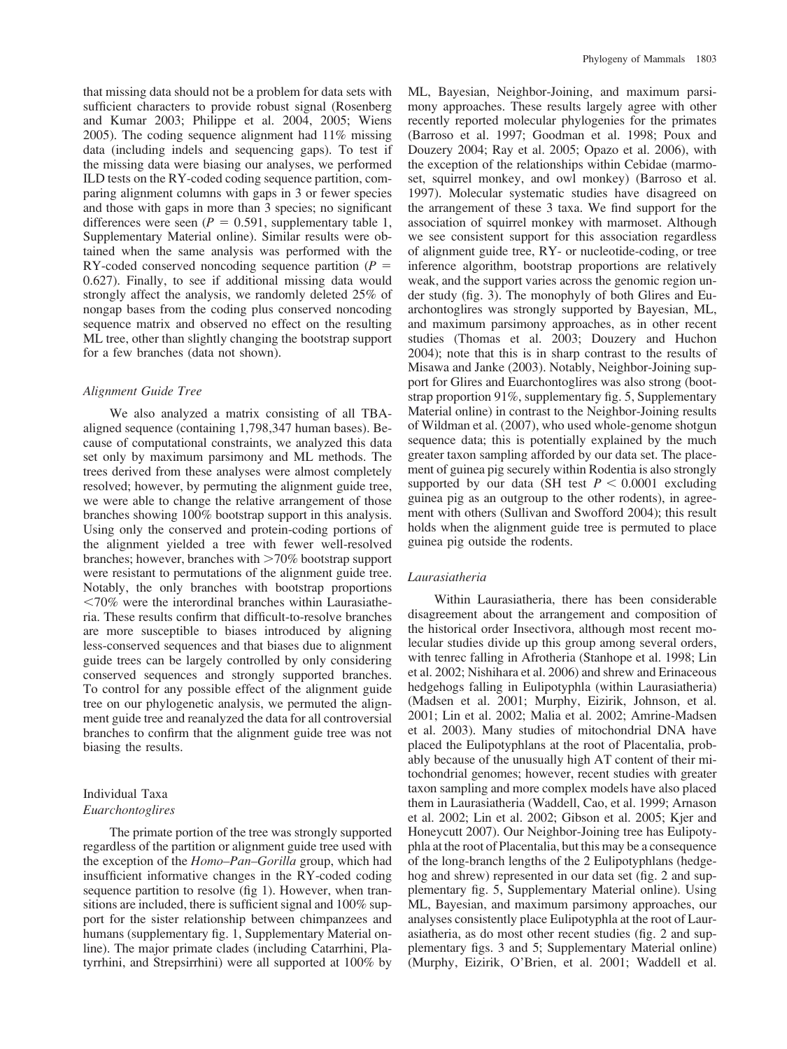that missing data should not be a problem for data sets with sufficient characters to provide robust signal (Rosenberg and Kumar 2003; Philippe et al. 2004, 2005; Wiens 2005). The coding sequence alignment had 11% missing data (including indels and sequencing gaps). To test if the missing data were biasing our analyses, we performed ILD tests on the RY-coded coding sequence partition, comparing alignment columns with gaps in 3 or fewer species and those with gaps in more than 3 species; no significant differences were seen ( $P = 0.591$ , supplementary table 1, Supplementary Material online). Similar results were obtained when the same analysis was performed with the RY-coded conserved noncoding sequence partition ( $P =$ 0.627). Finally, to see if additional missing data would strongly affect the analysis, we randomly deleted 25% of nongap bases from the coding plus conserved noncoding sequence matrix and observed no effect on the resulting ML tree, other than slightly changing the bootstrap support for a few branches (data not shown).

#### Alignment Guide Tree

We also analyzed a matrix consisting of all TBAaligned sequence (containing 1,798,347 human bases). Because of computational constraints, we analyzed this data set only by maximum parsimony and ML methods. The trees derived from these analyses were almost completely resolved; however, by permuting the alignment guide tree, we were able to change the relative arrangement of those branches showing 100% bootstrap support in this analysis. Using only the conserved and protein-coding portions of the alignment yielded a tree with fewer well-resolved branches; however, branches with  $>70\%$  bootstrap support were resistant to permutations of the alignment guide tree. Notably, the only branches with bootstrap proportions  $<$ 70% were the interordinal branches within Laurasiatheria. These results confirm that difficult-to-resolve branches are more susceptible to biases introduced by aligning less-conserved sequences and that biases due to alignment guide trees can be largely controlled by only considering conserved sequences and strongly supported branches. To control for any possible effect of the alignment guide tree on our phylogenetic analysis, we permuted the alignment guide tree and reanalyzed the data for all controversial branches to confirm that the alignment guide tree was not biasing the results.

# Individual Taxa Euarchontoglires

The primate portion of the tree was strongly supported regardless of the partition or alignment guide tree used with the exception of the *Homo–Pan–Gorilla* group, which had insufficient informative changes in the RY-coded coding sequence partition to resolve (fig 1). However, when transitions are included, there is sufficient signal and 100% support for the sister relationship between chimpanzees and humans (supplementary fig. 1, Supplementary Material online). The major primate clades (including Catarrhini, Platyrrhini, and Strepsirrhini) were all supported at 100% by ML, Bayesian, Neighbor-Joining, and maximum parsimony approaches. These results largely agree with other recently reported molecular phylogenies for the primates (Barroso et al. 1997; Goodman et al. 1998; Poux and Douzery 2004; Ray et al. 2005; Opazo et al. 2006), with the exception of the relationships within Cebidae (marmoset, squirrel monkey, and owl monkey) (Barroso et al. 1997). Molecular systematic studies have disagreed on the arrangement of these 3 taxa. We find support for the association of squirrel monkey with marmoset. Although we see consistent support for this association regardless of alignment guide tree, RY- or nucleotide-coding, or tree inference algorithm, bootstrap proportions are relatively weak, and the support varies across the genomic region under study (fig. 3). The monophyly of both Glires and Euarchontoglires was strongly supported by Bayesian, ML, and maximum parsimony approaches, as in other recent studies (Thomas et al. 2003; Douzery and Huchon 2004); note that this is in sharp contrast to the results of Misawa and Janke (2003). Notably, Neighbor-Joining support for Glires and Euarchontoglires was also strong (bootstrap proportion 91%, supplementary fig. 5, Supplementary Material online) in contrast to the Neighbor-Joining results of Wildman et al. (2007), who used whole-genome shotgun sequence data; this is potentially explained by the much greater taxon sampling afforded by our data set. The placement of guinea pig securely within Rodentia is also strongly supported by our data (SH test  $P < 0.0001$  excluding guinea pig as an outgroup to the other rodents), in agreement with others (Sullivan and Swofford 2004); this result holds when the alignment guide tree is permuted to place guinea pig outside the rodents.

# Laurasiatheria

Within Laurasiatheria, there has been considerable disagreement about the arrangement and composition of the historical order Insectivora, although most recent molecular studies divide up this group among several orders, with tenrec falling in Afrotheria (Stanhope et al. 1998; Lin et al. 2002; Nishihara et al. 2006) and shrew and Erinaceous hedgehogs falling in Eulipotyphla (within Laurasiatheria) (Madsen et al. 2001; Murphy, Eizirik, Johnson, et al. 2001; Lin et al. 2002; Malia et al. 2002; Amrine-Madsen et al. 2003). Many studies of mitochondrial DNA have placed the Eulipotyphlans at the root of Placentalia, probably because of the unusually high AT content of their mitochondrial genomes; however, recent studies with greater taxon sampling and more complex models have also placed them in Laurasiatheria (Waddell, Cao, et al. 1999; Arnason et al. 2002; Lin et al. 2002; Gibson et al. 2005; Kjer and Honeycutt 2007). Our Neighbor-Joining tree has Eulipotyphla at the root of Placentalia, but this may be a consequence of the long-branch lengths of the 2 Eulipotyphlans (hedgehog and shrew) represented in our data set (fig. 2 and supplementary fig. 5, Supplementary Material online). Using ML, Bayesian, and maximum parsimony approaches, our analyses consistently place Eulipotyphla at the root of Laurasiatheria, as do most other recent studies (fig. 2 and supplementary figs. 3 and 5; Supplementary Material online) (Murphy, Eizirik, O'Brien, et al. 2001; Waddell et al.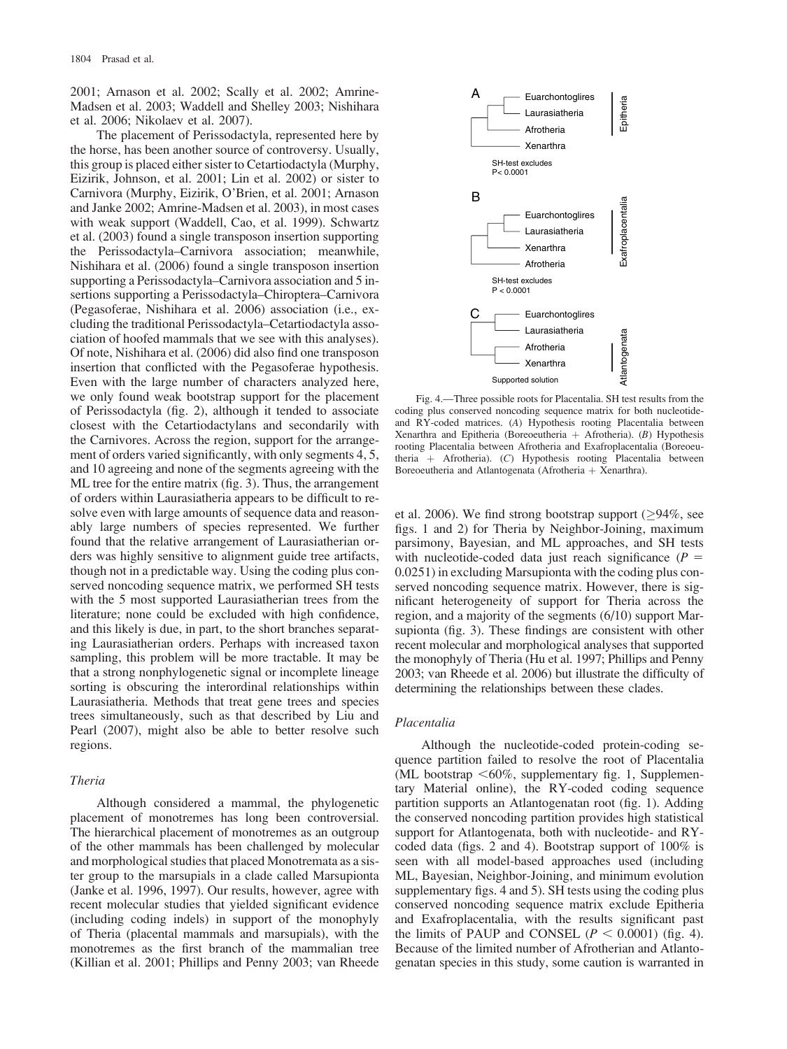2001; Arnason et al. 2002; Scally et al. 2002; Amrine-Madsen et al. 2003; Waddell and Shelley 2003; Nishihara et al. 2006; Nikolaev et al. 2007).

The placement of Perissodactyla, represented here by the horse, has been another source of controversy. Usually, this group is placed either sister to Cetartiodactyla (Murphy, Eizirik, Johnson, et al. 2001; Lin et al. 2002) or sister to Carnivora (Murphy, Eizirik, O'Brien, et al. 2001; Arnason and Janke 2002; Amrine-Madsen et al. 2003), in most cases with weak support (Waddell, Cao, et al. 1999). Schwartz et al. (2003) found a single transposon insertion supporting the Perissodactyla–Carnivora association; meanwhile, Nishihara et al. (2006) found a single transposon insertion supporting a Perissodactyla–Carnivora association and 5 insertions supporting a Perissodactyla–Chiroptera–Carnivora (Pegasoferae, Nishihara et al. 2006) association (i.e., excluding the traditional Perissodactyla–Cetartiodactyla association of hoofed mammals that we see with this analyses). Of note, Nishihara et al. (2006) did also find one transposon insertion that conflicted with the Pegasoferae hypothesis. Even with the large number of characters analyzed here, we only found weak bootstrap support for the placement of Perissodactyla (fig. 2), although it tended to associate closest with the Cetartiodactylans and secondarily with the Carnivores. Across the region, support for the arrangement of orders varied significantly, with only segments 4, 5, and 10 agreeing and none of the segments agreeing with the ML tree for the entire matrix (fig. 3). Thus, the arrangement of orders within Laurasiatheria appears to be difficult to resolve even with large amounts of sequence data and reasonably large numbers of species represented. We further found that the relative arrangement of Laurasiatherian orders was highly sensitive to alignment guide tree artifacts, though not in a predictable way. Using the coding plus conserved noncoding sequence matrix, we performed SH tests with the 5 most supported Laurasiatherian trees from the literature; none could be excluded with high confidence, and this likely is due, in part, to the short branches separating Laurasiatherian orders. Perhaps with increased taxon sampling, this problem will be more tractable. It may be that a strong nonphylogenetic signal or incomplete lineage sorting is obscuring the interordinal relationships within Laurasiatheria. Methods that treat gene trees and species trees simultaneously, such as that described by Liu and Pearl (2007), might also be able to better resolve such regions.

## Theria

Although considered a mammal, the phylogenetic placement of monotremes has long been controversial. The hierarchical placement of monotremes as an outgroup of the other mammals has been challenged by molecular and morphological studies that placed Monotremata as a sister group to the marsupials in a clade called Marsupionta (Janke et al. 1996, 1997). Our results, however, agree with recent molecular studies that yielded significant evidence (including coding indels) in support of the monophyly of Theria (placental mammals and marsupials), with the monotremes as the first branch of the mammalian tree (Killian et al. 2001; Phillips and Penny 2003; van Rheede



Fig. 4.—Three possible roots for Placentalia. SH test results from the coding plus conserved noncoding sequence matrix for both nucleotideand RY-coded matrices. (A) Hypothesis rooting Placentalia between Xenarthra and Epitheria (Boreoeutheria  $+$  Afrotheria). (B) Hypothesis rooting Placentalia between Afrotheria and Exafroplacentalia (Boreoeutheria + Afrotheria). (C) Hypothesis rooting Placentalia between Boreoeutheria and Atlantogenata (Afrotheria  $+$  Xenarthra).

et al. 2006). We find strong bootstrap support  $(≥94\%$ , see figs. 1 and 2) for Theria by Neighbor-Joining, maximum parsimony, Bayesian, and ML approaches, and SH tests with nucleotide-coded data just reach significance  $(P =$ 0.0251) in excluding Marsupionta with the coding plus conserved noncoding sequence matrix. However, there is significant heterogeneity of support for Theria across the region, and a majority of the segments (6/10) support Marsupionta (fig. 3). These findings are consistent with other recent molecular and morphological analyses that supported the monophyly of Theria (Hu et al. 1997; Phillips and Penny 2003; van Rheede et al. 2006) but illustrate the difficulty of determining the relationships between these clades.

#### Placentalia

Although the nucleotide-coded protein-coding sequence partition failed to resolve the root of Placentalia (ML bootstrap  $<60\%$ , supplementary fig. 1, Supplementary Material online), the RY-coded coding sequence partition supports an Atlantogenatan root (fig. 1). Adding the conserved noncoding partition provides high statistical support for Atlantogenata, both with nucleotide- and RYcoded data (figs. 2 and 4). Bootstrap support of 100% is seen with all model-based approaches used (including ML, Bayesian, Neighbor-Joining, and minimum evolution supplementary figs. 4 and 5). SH tests using the coding plus conserved noncoding sequence matrix exclude Epitheria and Exafroplacentalia, with the results significant past the limits of PAUP and CONSEL ( $P < 0.0001$ ) (fig. 4). Because of the limited number of Afrotherian and Atlantogenatan species in this study, some caution is warranted in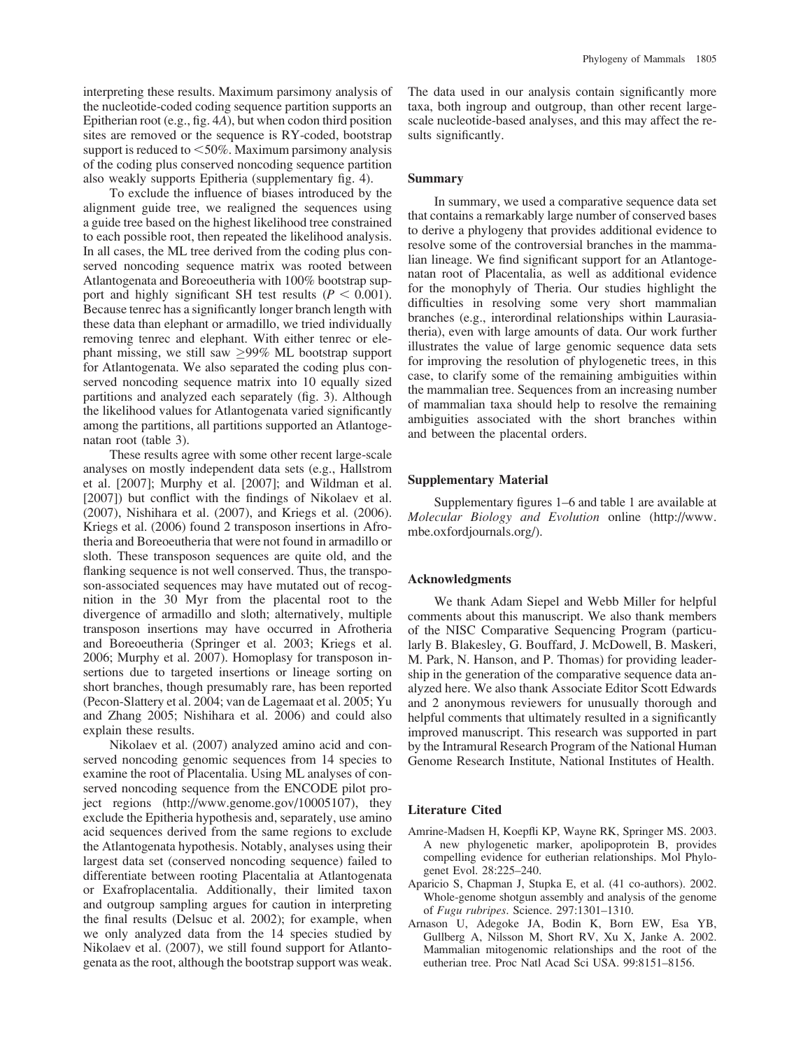interpreting these results. Maximum parsimony analysis of the nucleotide-coded coding sequence partition supports an Epitherian root (e.g., fig. 4A), but when codon third position sites are removed or the sequence is RY-coded, bootstrap support is reduced to  $\leq 50\%$ . Maximum parsimony analysis of the coding plus conserved noncoding sequence partition also weakly supports Epitheria (supplementary fig. 4).

To exclude the influence of biases introduced by the alignment guide tree, we realigned the sequences using a guide tree based on the highest likelihood tree constrained to each possible root, then repeated the likelihood analysis. In all cases, the ML tree derived from the coding plus conserved noncoding sequence matrix was rooted between Atlantogenata and Boreoeutheria with 100% bootstrap support and highly significant SH test results ( $P < 0.001$ ). Because tenrec has a significantly longer branch length with these data than elephant or armadillo, we tried individually removing tenrec and elephant. With either tenrec or elephant missing, we still saw  $\geq$ 99% ML bootstrap support for Atlantogenata. We also separated the coding plus conserved noncoding sequence matrix into 10 equally sized partitions and analyzed each separately (fig. 3). Although the likelihood values for Atlantogenata varied significantly among the partitions, all partitions supported an Atlantogenatan root (table 3).

These results agree with some other recent large-scale analyses on mostly independent data sets (e.g., Hallstrom et al. [2007]; Murphy et al. [2007]; and Wildman et al. [2007]) but conflict with the findings of Nikolaev et al. (2007), Nishihara et al. (2007), and Kriegs et al. (2006). Kriegs et al. (2006) found 2 transposon insertions in Afrotheria and Boreoeutheria that were not found in armadillo or sloth. These transposon sequences are quite old, and the flanking sequence is not well conserved. Thus, the transposon-associated sequences may have mutated out of recognition in the 30 Myr from the placental root to the divergence of armadillo and sloth; alternatively, multiple transposon insertions may have occurred in Afrotheria and Boreoeutheria (Springer et al. 2003; Kriegs et al. 2006; Murphy et al. 2007). Homoplasy for transposon insertions due to targeted insertions or lineage sorting on short branches, though presumably rare, has been reported (Pecon-Slattery et al. 2004; van de Lagemaat et al. 2005; Yu and Zhang 2005; Nishihara et al. 2006) and could also explain these results.

Nikolaev et al. (2007) analyzed amino acid and conserved noncoding genomic sequences from 14 species to examine the root of Placentalia. Using ML analyses of conserved noncoding sequence from the ENCODE pilot project regions ([http://www.genome.gov/10005107\)](http://www.genome.gov/10005107), they exclude the Epitheria hypothesis and, separately, use amino acid sequences derived from the same regions to exclude the Atlantogenata hypothesis. Notably, analyses using their largest data set (conserved noncoding sequence) failed to differentiate between rooting Placentalia at Atlantogenata or Exafroplacentalia. Additionally, their limited taxon and outgroup sampling argues for caution in interpreting the final results (Delsuc et al. 2002); for example, when we only analyzed data from the 14 species studied by Nikolaev et al. (2007), we still found support for Atlantogenata as the root, although the bootstrap support was weak.

The data used in our analysis contain significantly more taxa, both ingroup and outgroup, than other recent largescale nucleotide-based analyses, and this may affect the results significantly.

#### Summary

In summary, we used a comparative sequence data set that contains a remarkably large number of conserved bases to derive a phylogeny that provides additional evidence to resolve some of the controversial branches in the mammalian lineage. We find significant support for an Atlantogenatan root of Placentalia, as well as additional evidence for the monophyly of Theria. Our studies highlight the difficulties in resolving some very short mammalian branches (e.g., interordinal relationships within Laurasiatheria), even with large amounts of data. Our work further illustrates the value of large genomic sequence data sets for improving the resolution of phylogenetic trees, in this case, to clarify some of the remaining ambiguities within the mammalian tree. Sequences from an increasing number of mammalian taxa should help to resolve the remaining ambiguities associated with the short branches within and between the placental orders.

#### Supplementary Material

Supplementary figures 1–6 and table 1 are available at Molecular Biology and Evolution online [\(http://www.](http://www.mbe.oxfordjournals.org/) [mbe.oxfordjournals.org/\)](http://www.mbe.oxfordjournals.org/).

#### Acknowledgments

We thank Adam Siepel and Webb Miller for helpful comments about this manuscript. We also thank members of the NISC Comparative Sequencing Program (particularly B. Blakesley, G. Bouffard, J. McDowell, B. Maskeri, M. Park, N. Hanson, and P. Thomas) for providing leadership in the generation of the comparative sequence data analyzed here. We also thank Associate Editor Scott Edwards and 2 anonymous reviewers for unusually thorough and helpful comments that ultimately resulted in a significantly improved manuscript. This research was supported in part by the Intramural Research Program of the National Human Genome Research Institute, National Institutes of Health.

#### Literature Cited

- Amrine-Madsen H, Koepfli KP, Wayne RK, Springer MS. 2003. A new phylogenetic marker, apolipoprotein B, provides compelling evidence for eutherian relationships. Mol Phylogenet Evol. 28:225–240.
- Aparicio S, Chapman J, Stupka E, et al. (41 co-authors). 2002. Whole-genome shotgun assembly and analysis of the genome of Fugu rubripes. Science. 297:1301–1310.
- Arnason U, Adegoke JA, Bodin K, Born EW, Esa YB, Gullberg A, Nilsson M, Short RV, Xu X, Janke A. 2002. Mammalian mitogenomic relationships and the root of the eutherian tree. Proc Natl Acad Sci USA. 99:8151–8156.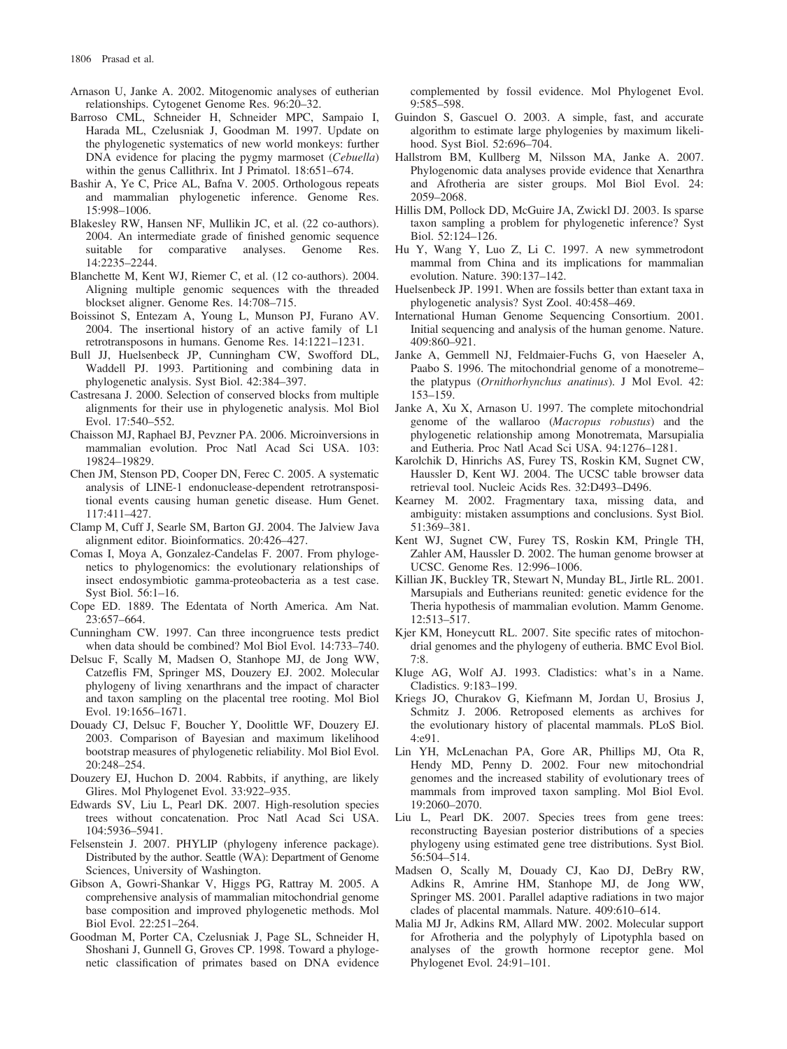- Arnason U, Janke A. 2002. Mitogenomic analyses of eutherian relationships. Cytogenet Genome Res. 96:20–32.
- Barroso CML, Schneider H, Schneider MPC, Sampaio I, Harada ML, Czelusniak J, Goodman M. 1997. Update on the phylogenetic systematics of new world monkeys: further DNA evidence for placing the pygmy marmoset (*Cebuella*) within the genus Callithrix. Int J Primatol. 18:651–674.
- Bashir A, Ye C, Price AL, Bafna V. 2005. Orthologous repeats and mammalian phylogenetic inference. Genome Res. 15:998–1006.
- Blakesley RW, Hansen NF, Mullikin JC, et al. (22 co-authors). 2004. An intermediate grade of finished genomic sequence suitable for comparative analyses. Genome Res. 14:2235–2244.
- Blanchette M, Kent WJ, Riemer C, et al. (12 co-authors). 2004. Aligning multiple genomic sequences with the threaded blockset aligner. Genome Res. 14:708–715.
- Boissinot S, Entezam A, Young L, Munson PJ, Furano AV. 2004. The insertional history of an active family of L1 retrotransposons in humans. Genome Res. 14:1221–1231.
- Bull JJ, Huelsenbeck JP, Cunningham CW, Swofford DL, Waddell PJ. 1993. Partitioning and combining data in phylogenetic analysis. Syst Biol. 42:384–397.
- Castresana J. 2000. Selection of conserved blocks from multiple alignments for their use in phylogenetic analysis. Mol Biol Evol. 17:540–552.
- Chaisson MJ, Raphael BJ, Pevzner PA. 2006. Microinversions in mammalian evolution. Proc Natl Acad Sci USA. 103: 19824–19829.
- Chen JM, Stenson PD, Cooper DN, Ferec C. 2005. A systematic analysis of LINE-1 endonuclease-dependent retrotranspositional events causing human genetic disease. Hum Genet. 117:411–427.
- Clamp M, Cuff J, Searle SM, Barton GJ. 2004. The Jalview Java alignment editor. Bioinformatics. 20:426–427.
- Comas I, Moya A, Gonzalez-Candelas F. 2007. From phylogenetics to phylogenomics: the evolutionary relationships of insect endosymbiotic gamma-proteobacteria as a test case. Syst Biol. 56:1–16.
- Cope ED. 1889. The Edentata of North America. Am Nat. 23:657–664.
- Cunningham CW. 1997. Can three incongruence tests predict when data should be combined? Mol Biol Evol. 14:733–740.
- Delsuc F, Scally M, Madsen O, Stanhope MJ, de Jong WW, Catzeflis FM, Springer MS, Douzery EJ. 2002. Molecular phylogeny of living xenarthrans and the impact of character and taxon sampling on the placental tree rooting. Mol Biol Evol. 19:1656–1671.
- Douady CJ, Delsuc F, Boucher Y, Doolittle WF, Douzery EJ. 2003. Comparison of Bayesian and maximum likelihood bootstrap measures of phylogenetic reliability. Mol Biol Evol. 20:248–254.
- Douzery EJ, Huchon D. 2004. Rabbits, if anything, are likely Glires. Mol Phylogenet Evol. 33:922–935.
- Edwards SV, Liu L, Pearl DK. 2007. High-resolution species trees without concatenation. Proc Natl Acad Sci USA. 104:5936–5941.
- Felsenstein J. 2007. PHYLIP (phylogeny inference package). Distributed by the author. Seattle (WA): Department of Genome Sciences, University of Washington.
- Gibson A, Gowri-Shankar V, Higgs PG, Rattray M. 2005. A comprehensive analysis of mammalian mitochondrial genome base composition and improved phylogenetic methods. Mol Biol Evol. 22:251–264.
- Goodman M, Porter CA, Czelusniak J, Page SL, Schneider H, Shoshani J, Gunnell G, Groves CP. 1998. Toward a phylogenetic classification of primates based on DNA evidence

complemented by fossil evidence. Mol Phylogenet Evol. 9:585–598.

- Guindon S, Gascuel O. 2003. A simple, fast, and accurate algorithm to estimate large phylogenies by maximum likelihood. Syst Biol. 52:696–704.
- Hallstrom BM, Kullberg M, Nilsson MA, Janke A. 2007. Phylogenomic data analyses provide evidence that Xenarthra and Afrotheria are sister groups. Mol Biol Evol. 24: 2059–2068.
- Hillis DM, Pollock DD, McGuire JA, Zwickl DJ. 2003. Is sparse taxon sampling a problem for phylogenetic inference? Syst Biol. 52:124–126.
- Hu Y, Wang Y, Luo Z, Li C. 1997. A new symmetrodont mammal from China and its implications for mammalian evolution. Nature. 390:137–142.
- Huelsenbeck JP. 1991. When are fossils better than extant taxa in phylogenetic analysis? Syst Zool. 40:458–469.
- International Human Genome Sequencing Consortium. 2001. Initial sequencing and analysis of the human genome. Nature. 409:860–921.
- Janke A, Gemmell NJ, Feldmaier-Fuchs G, von Haeseler A, Paabo S. 1996. The mitochondrial genome of a monotreme– the platypus (Ornithorhynchus anatinus). J Mol Evol. 42: 153–159.
- Janke A, Xu X, Arnason U. 1997. The complete mitochondrial genome of the wallaroo (Macropus robustus) and the phylogenetic relationship among Monotremata, Marsupialia and Eutheria. Proc Natl Acad Sci USA. 94:1276–1281.
- Karolchik D, Hinrichs AS, Furey TS, Roskin KM, Sugnet CW, Haussler D, Kent WJ. 2004. The UCSC table browser data retrieval tool. Nucleic Acids Res. 32:D493–D496.
- Kearney M. 2002. Fragmentary taxa, missing data, and ambiguity: mistaken assumptions and conclusions. Syst Biol. 51:369–381.
- Kent WJ, Sugnet CW, Furey TS, Roskin KM, Pringle TH, Zahler AM, Haussler D. 2002. The human genome browser at UCSC. Genome Res. 12:996–1006.
- Killian JK, Buckley TR, Stewart N, Munday BL, Jirtle RL. 2001. Marsupials and Eutherians reunited: genetic evidence for the Theria hypothesis of mammalian evolution. Mamm Genome. 12:513–517.
- Kjer KM, Honeycutt RL. 2007. Site specific rates of mitochondrial genomes and the phylogeny of eutheria. BMC Evol Biol. 7:8.
- Kluge AG, Wolf AJ. 1993. Cladistics: what's in a Name. Cladistics. 9:183–199.
- Kriegs JO, Churakov G, Kiefmann M, Jordan U, Brosius J, Schmitz J. 2006. Retroposed elements as archives for the evolutionary history of placental mammals. PLoS Biol. 4:e91.
- Lin YH, McLenachan PA, Gore AR, Phillips MJ, Ota R, Hendy MD, Penny D. 2002. Four new mitochondrial genomes and the increased stability of evolutionary trees of mammals from improved taxon sampling. Mol Biol Evol. 19:2060–2070.
- Liu L, Pearl DK. 2007. Species trees from gene trees: reconstructing Bayesian posterior distributions of a species phylogeny using estimated gene tree distributions. Syst Biol. 56:504–514.
- Madsen O, Scally M, Douady CJ, Kao DJ, DeBry RW, Adkins R, Amrine HM, Stanhope MJ, de Jong WW, Springer MS. 2001. Parallel adaptive radiations in two major clades of placental mammals. Nature. 409:610–614.
- Malia MJ Jr, Adkins RM, Allard MW. 2002. Molecular support for Afrotheria and the polyphyly of Lipotyphla based on analyses of the growth hormone receptor gene. Mol Phylogenet Evol. 24:91–101.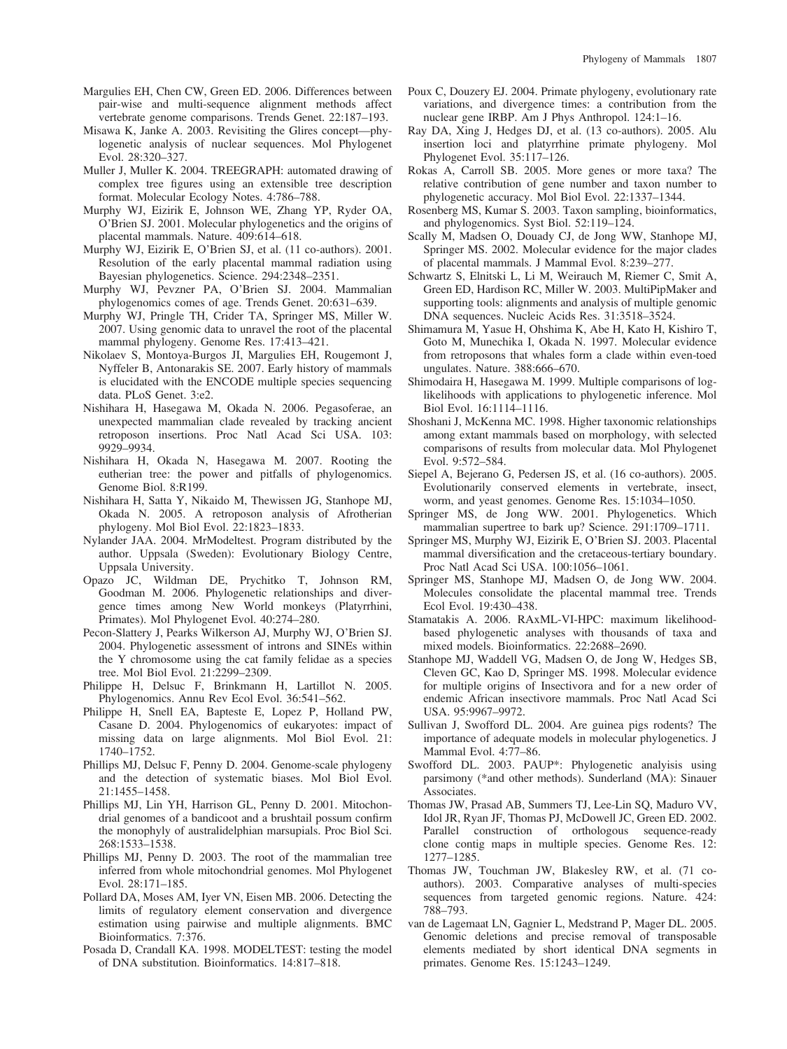- Margulies EH, Chen CW, Green ED. 2006. Differences between pair-wise and multi-sequence alignment methods affect vertebrate genome comparisons. Trends Genet. 22:187–193.
- Misawa K, Janke A. 2003. Revisiting the Glires concept—phylogenetic analysis of nuclear sequences. Mol Phylogenet Evol. 28:320–327.
- Muller J, Muller K. 2004. TREEGRAPH: automated drawing of complex tree figures using an extensible tree description format. Molecular Ecology Notes. 4:786–788.
- Murphy WJ, Eizirik E, Johnson WE, Zhang YP, Ryder OA, O'Brien SJ. 2001. Molecular phylogenetics and the origins of placental mammals. Nature. 409:614–618.
- Murphy WJ, Eizirik E, O'Brien SJ, et al. (11 co-authors). 2001. Resolution of the early placental mammal radiation using Bayesian phylogenetics. Science. 294:2348–2351.
- Murphy WJ, Pevzner PA, O'Brien SJ. 2004. Mammalian phylogenomics comes of age. Trends Genet. 20:631–639.
- Murphy WJ, Pringle TH, Crider TA, Springer MS, Miller W. 2007. Using genomic data to unravel the root of the placental mammal phylogeny. Genome Res. 17:413–421.
- Nikolaev S, Montoya-Burgos JI, Margulies EH, Rougemont J, Nyffeler B, Antonarakis SE. 2007. Early history of mammals is elucidated with the ENCODE multiple species sequencing data. PLoS Genet. 3:e2.
- Nishihara H, Hasegawa M, Okada N. 2006. Pegasoferae, an unexpected mammalian clade revealed by tracking ancient retroposon insertions. Proc Natl Acad Sci USA. 103: 9929–9934.
- Nishihara H, Okada N, Hasegawa M. 2007. Rooting the eutherian tree: the power and pitfalls of phylogenomics. Genome Biol. 8:R199.
- Nishihara H, Satta Y, Nikaido M, Thewissen JG, Stanhope MJ, Okada N. 2005. A retroposon analysis of Afrotherian phylogeny. Mol Biol Evol. 22:1823–1833.
- Nylander JAA. 2004. MrModeltest. Program distributed by the author. Uppsala (Sweden): Evolutionary Biology Centre, Uppsala University.
- Opazo JC, Wildman DE, Prychitko T, Johnson RM, Goodman M. 2006. Phylogenetic relationships and divergence times among New World monkeys (Platyrrhini, Primates). Mol Phylogenet Evol. 40:274–280.
- Pecon-Slattery J, Pearks Wilkerson AJ, Murphy WJ, O'Brien SJ. 2004. Phylogenetic assessment of introns and SINEs within the Y chromosome using the cat family felidae as a species tree. Mol Biol Evol. 21:2299–2309.
- Philippe H, Delsuc F, Brinkmann H, Lartillot N. 2005. Phylogenomics. Annu Rev Ecol Evol. 36:541–562.
- Philippe H, Snell EA, Bapteste E, Lopez P, Holland PW, Casane D. 2004. Phylogenomics of eukaryotes: impact of missing data on large alignments. Mol Biol Evol. 21: 1740–1752.
- Phillips MJ, Delsuc F, Penny D. 2004. Genome-scale phylogeny and the detection of systematic biases. Mol Biol Evol. 21:1455–1458.
- Phillips MJ, Lin YH, Harrison GL, Penny D. 2001. Mitochondrial genomes of a bandicoot and a brushtail possum confirm the monophyly of australidelphian marsupials. Proc Biol Sci. 268:1533–1538.
- Phillips MJ, Penny D. 2003. The root of the mammalian tree inferred from whole mitochondrial genomes. Mol Phylogenet Evol. 28:171–185.
- Pollard DA, Moses AM, Iyer VN, Eisen MB. 2006. Detecting the limits of regulatory element conservation and divergence estimation using pairwise and multiple alignments. BMC Bioinformatics. 7:376.
- Posada D, Crandall KA. 1998. MODELTEST: testing the model of DNA substitution. Bioinformatics. 14:817–818.
- Poux C, Douzery EJ. 2004. Primate phylogeny, evolutionary rate variations, and divergence times: a contribution from the nuclear gene IRBP. Am J Phys Anthropol. 124:1–16.
- Ray DA, Xing J, Hedges DJ, et al. (13 co-authors). 2005. Alu insertion loci and platyrrhine primate phylogeny. Mol Phylogenet Evol. 35:117–126.
- Rokas A, Carroll SB. 2005. More genes or more taxa? The relative contribution of gene number and taxon number to phylogenetic accuracy. Mol Biol Evol. 22:1337–1344.
- Rosenberg MS, Kumar S. 2003. Taxon sampling, bioinformatics, and phylogenomics. Syst Biol. 52:119–124.
- Scally M, Madsen O, Douady CJ, de Jong WW, Stanhope MJ, Springer MS. 2002. Molecular evidence for the major clades of placental mammals. J Mammal Evol. 8:239–277.
- Schwartz S, Elnitski L, Li M, Weirauch M, Riemer C, Smit A, Green ED, Hardison RC, Miller W. 2003. MultiPipMaker and supporting tools: alignments and analysis of multiple genomic DNA sequences. Nucleic Acids Res. 31:3518–3524.
- Shimamura M, Yasue H, Ohshima K, Abe H, Kato H, Kishiro T, Goto M, Munechika I, Okada N. 1997. Molecular evidence from retroposons that whales form a clade within even-toed ungulates. Nature. 388:666–670.
- Shimodaira H, Hasegawa M. 1999. Multiple comparisons of loglikelihoods with applications to phylogenetic inference. Mol Biol Evol. 16:1114–1116.
- Shoshani J, McKenna MC. 1998. Higher taxonomic relationships among extant mammals based on morphology, with selected comparisons of results from molecular data. Mol Phylogenet Evol. 9:572–584.
- Siepel A, Bejerano G, Pedersen JS, et al. (16 co-authors). 2005. Evolutionarily conserved elements in vertebrate, insect, worm, and yeast genomes. Genome Res. 15:1034–1050.
- Springer MS, de Jong WW. 2001. Phylogenetics. Which mammalian supertree to bark up? Science. 291:1709–1711.
- Springer MS, Murphy WJ, Eizirik E, O'Brien SJ. 2003. Placental mammal diversification and the cretaceous-tertiary boundary. Proc Natl Acad Sci USA. 100:1056–1061.
- Springer MS, Stanhope MJ, Madsen O, de Jong WW. 2004. Molecules consolidate the placental mammal tree. Trends Ecol Evol. 19:430–438.
- Stamatakis A. 2006. RAxML-VI-HPC: maximum likelihoodbased phylogenetic analyses with thousands of taxa and mixed models. Bioinformatics. 22:2688–2690.
- Stanhope MJ, Waddell VG, Madsen O, de Jong W, Hedges SB, Cleven GC, Kao D, Springer MS. 1998. Molecular evidence for multiple origins of Insectivora and for a new order of endemic African insectivore mammals. Proc Natl Acad Sci USA. 95:9967–9972.
- Sullivan J, Swofford DL. 2004. Are guinea pigs rodents? The importance of adequate models in molecular phylogenetics. J Mammal Evol. 4:77–86.
- Swofford DL. 2003. PAUP\*: Phylogenetic analyisis using parsimony (\*and other methods). Sunderland (MA): Sinauer Associates.
- Thomas JW, Prasad AB, Summers TJ, Lee-Lin SQ, Maduro VV, Idol JR, Ryan JF, Thomas PJ, McDowell JC, Green ED. 2002. Parallel construction of orthologous sequence-ready clone contig maps in multiple species. Genome Res. 12: 1277–1285.
- Thomas JW, Touchman JW, Blakesley RW, et al. (71 coauthors). 2003. Comparative analyses of multi-species sequences from targeted genomic regions. Nature. 424: 788–793.
- van de Lagemaat LN, Gagnier L, Medstrand P, Mager DL. 2005. Genomic deletions and precise removal of transposable elements mediated by short identical DNA segments in primates. Genome Res. 15:1243–1249.